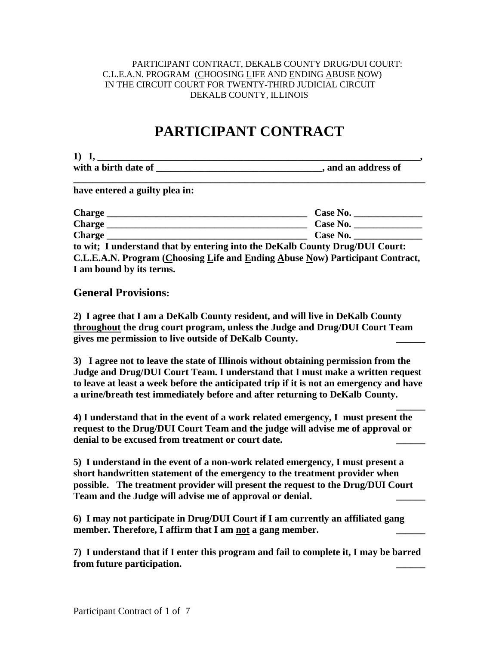#### PARTICIPANT CONTRACT, DEKALB COUNTY DRUG/DUI COURT: C.L.E.A.N. PROGRAM (CHOOSING LIFE AND ENDING ABUSE NOW) IN THE CIRCUIT COURT FOR TWENTY-THIRD JUDICIAL CIRCUIT DEKALB COUNTY, ILLINOIS

# **PARTICIPANT CONTRACT**

| $\bf{1}$             |                     |
|----------------------|---------------------|
| with a birth date of | , and an address of |

**\_\_\_\_\_\_\_\_\_\_\_\_\_\_\_\_\_\_\_\_\_\_\_\_\_\_\_\_\_\_\_\_\_\_\_\_\_\_\_\_\_\_\_\_\_\_\_\_\_\_\_\_\_\_\_\_\_\_\_\_\_\_\_\_\_\_\_\_\_\_\_\_**

**have entered a guilty plea in:**

| <b>Charge</b>                                                                 | Case No.                                                                     |
|-------------------------------------------------------------------------------|------------------------------------------------------------------------------|
| <b>Charge</b>                                                                 | <b>Case No.</b>                                                              |
| <b>Charge</b>                                                                 | <b>Case No.</b>                                                              |
|                                                                               | to wit; I understand that by entering into the DeKalb County Drug/DUI Court: |
| C.L.E.A.N. Program (Choosing Life and Ending Abuse Now) Participant Contract, |                                                                              |

**I am bound by its terms. General Provisions:**

**2) I agree that I am a DeKalb County resident, and will live in DeKalb County throughout the drug court program, unless the Judge and Drug/DUI Court Team gives me permission to live outside of DeKalb County. \_\_\_\_\_\_**

**3) I agree not to leave the state of Illinois without obtaining permission from the Judge and Drug/DUI Court Team. I understand that I must make a written request to leave at least a week before the anticipated trip if it is not an emergency and have a urine/breath test immediately before and after returning to DeKalb County.**

**\_\_\_\_\_\_ 4) I understand that in the event of a work related emergency, I must present the request to the Drug/DUI Court Team and the judge will advise me of approval or denial to be excused from treatment or court date. \_\_\_\_\_\_**

**5) I understand in the event of a non-work related emergency, I must present a short handwritten statement of the emergency to the treatment provider when possible. The treatment provider will present the request to the Drug/DUI Court Team and the Judge will advise me of approval or denial. \_\_\_\_\_\_**

**6) I may not participate in Drug/DUI Court if I am currently an affiliated gang**  member. Therefore, I affirm that I am not a gang member.

**7) I understand that if I enter this program and fail to complete it, I may be barred from future participation. \_\_\_\_\_\_**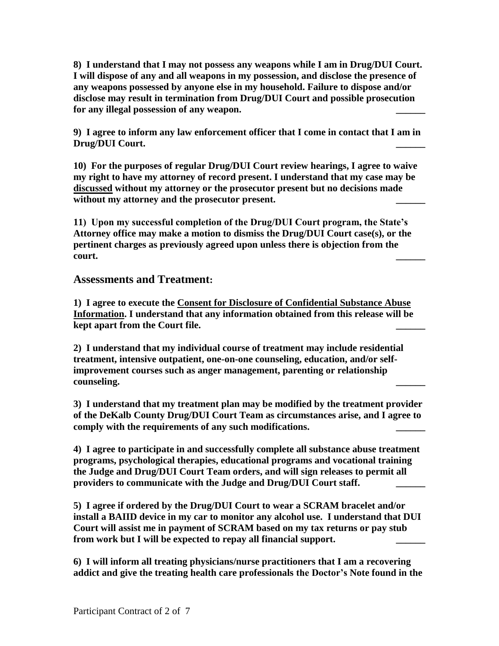**8) I understand that I may not possess any weapons while I am in Drug/DUI Court. I will dispose of any and all weapons in my possession, and disclose the presence of any weapons possessed by anyone else in my household. Failure to dispose and/or disclose may result in termination from Drug/DUI Court and possible prosecution**  for any illegal possession of any weapon.

**9) I agree to inform any law enforcement officer that I come in contact that I am in Drug/DUI Court. \_\_\_\_\_\_** 

**10) For the purposes of regular Drug/DUI Court review hearings, I agree to waive my right to have my attorney of record present. I understand that my case may be discussed without my attorney or the prosecutor present but no decisions made**  without my attorney and the prosecutor present.

**11) Upon my successful completion of the Drug/DUI Court program, the State's Attorney office may make a motion to dismiss the Drug/DUI Court case(s), or the pertinent charges as previously agreed upon unless there is objection from the court. \_\_\_\_\_\_**

# **Assessments and Treatment:**

**1) I agree to execute the Consent for Disclosure of Confidential Substance Abuse Information. I understand that any information obtained from this release will be kept apart from the Court file. \_\_\_\_\_\_**

**2) I understand that my individual course of treatment may include residential treatment, intensive outpatient, one-on-one counseling, education, and/or selfimprovement courses such as anger management, parenting or relationship counseling. \_\_\_\_\_\_**

**3) I understand that my treatment plan may be modified by the treatment provider of the DeKalb County Drug/DUI Court Team as circumstances arise, and I agree to**  comply with the requirements of any such modifications.

**4) I agree to participate in and successfully complete all substance abuse treatment programs, psychological therapies, educational programs and vocational training the Judge and Drug/DUI Court Team orders, and will sign releases to permit all providers to communicate with the Judge and Drug/DUI Court staff. \_\_\_\_\_\_**

**5) I agree if ordered by the Drug/DUI Court to wear a SCRAM bracelet and/or install a BAIID device in my car to monitor any alcohol use. I understand that DUI Court will assist me in payment of SCRAM based on my tax returns or pay stub**  from work but I will be expected to repay all financial support.

**6) I will inform all treating physicians/nurse practitioners that I am a recovering addict and give the treating health care professionals the Doctor's Note found in the**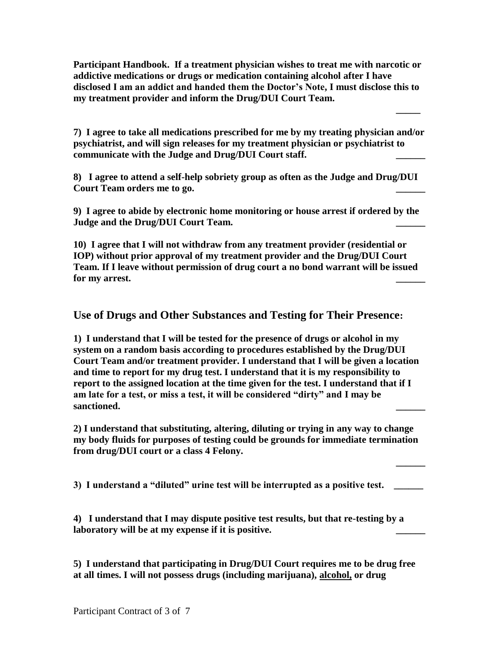**Participant Handbook. If a treatment physician wishes to treat me with narcotic or addictive medications or drugs or medication containing alcohol after I have disclosed I am an addict and handed them the Doctor's Note, I must disclose this to my treatment provider and inform the Drug/DUI Court Team.** 

**7) I agree to take all medications prescribed for me by my treating physician and/or psychiatrist, and will sign releases for my treatment physician or psychiatrist to communicate with the Judge and Drug/DUI Court staff. \_\_\_\_\_\_**

**\_\_\_\_\_** 

**\_\_\_\_\_\_**

**8) I agree to attend a self-help sobriety group as often as the Judge and Drug/DUI Court Team orders me to go. \_\_\_\_\_\_**

**9) I agree to abide by electronic home monitoring or house arrest if ordered by the Judge and the Drug/DUI Court Team. \_\_\_\_\_\_**

**10) I agree that I will not withdraw from any treatment provider (residential or IOP) without prior approval of my treatment provider and the Drug/DUI Court Team. If I leave without permission of drug court a no bond warrant will be issued**  for my arrest.

**Use of Drugs and Other Substances and Testing for Their Presence:**

**1) I understand that I will be tested for the presence of drugs or alcohol in my system on a random basis according to procedures established by the Drug/DUI Court Team and/or treatment provider. I understand that I will be given a location and time to report for my drug test. I understand that it is my responsibility to report to the assigned location at the time given for the test. I understand that if I am late for a test, or miss a test, it will be considered "dirty" and I may be sanctioned. \_\_\_\_\_\_**

**2) I understand that substituting, altering, diluting or trying in any way to change my body fluids for purposes of testing could be grounds for immediate termination from drug/DUI court or a class 4 Felony.**

**3) I understand a "diluted" urine test will be interrupted as a positive test. \_\_\_\_\_\_** 

**4) I understand that I may dispute positive test results, but that re-testing by a**  laboratory will be at my expense if it is positive.

**5) I understand that participating in Drug/DUI Court requires me to be drug free at all times. I will not possess drugs (including marijuana), alcohol, or drug**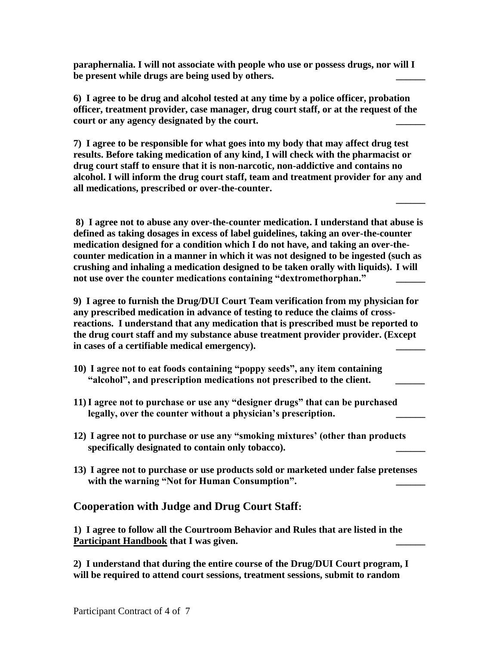**paraphernalia. I will not associate with people who use or possess drugs, nor will I**  be present while drugs are being used by others.

**6) I agree to be drug and alcohol tested at any time by a police officer, probation officer, treatment provider, case manager, drug court staff, or at the request of the**  court or any agency designated by the court.

**7) I agree to be responsible for what goes into my body that may affect drug test results. Before taking medication of any kind, I will check with the pharmacist or drug court staff to ensure that it is non-narcotic, non-addictive and contains no alcohol. I will inform the drug court staff, team and treatment provider for any and all medications, prescribed or over-the-counter.** 

**\_\_\_\_\_\_**

**8) I agree not to abuse any over-the-counter medication. I understand that abuse is defined as taking dosages in excess of label guidelines, taking an over-the-counter medication designed for a condition which I do not have, and taking an over-thecounter medication in a manner in which it was not designed to be ingested (such as crushing and inhaling a medication designed to be taken orally with liquids). I will**  not use over the counter medications containing "dextromethorphan."

**9) I agree to furnish the Drug/DUI Court Team verification from my physician for any prescribed medication in advance of testing to reduce the claims of crossreactions. I understand that any medication that is prescribed must be reported to the drug court staff and my substance abuse treatment provider provider. (Except**  in cases of a certifiable medical emergency).

- **10) I agree not to eat foods containing "poppy seeds", any item containing "alcohol", and prescription medications not prescribed to the client. \_\_\_\_\_\_**
- **11)I agree not to purchase or use any "designer drugs" that can be purchased legally, over the counter without a physician's prescription. \_\_\_\_\_\_**
- **12) I agree not to purchase or use any "smoking mixtures' (other than products**  specifically designated to contain only tobacco).
- **13) I agree not to purchase or use products sold or marketed under false pretenses**  with the warning "Not for Human Consumption".

# **Cooperation with Judge and Drug Court Staff:**

**1) I agree to follow all the Courtroom Behavior and Rules that are listed in the**  Participant Handbook that I was given.

**2) I understand that during the entire course of the Drug/DUI Court program, I will be required to attend court sessions, treatment sessions, submit to random**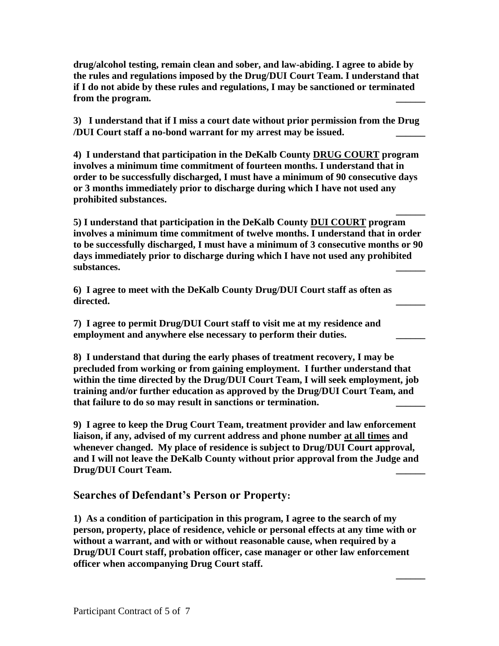**drug/alcohol testing, remain clean and sober, and law-abiding. I agree to abide by the rules and regulations imposed by the Drug/DUI Court Team. I understand that if I do not abide by these rules and regulations, I may be sanctioned or terminated**  from the program.

**3) I understand that if I miss a court date without prior permission from the Drug /DUI Court staff a no-bond warrant for my arrest may be issued. \_\_\_\_\_\_**

**4) I understand that participation in the DeKalb County DRUG COURT program involves a minimum time commitment of fourteen months. I understand that in order to be successfully discharged, I must have a minimum of 90 consecutive days or 3 months immediately prior to discharge during which I have not used any prohibited substances.**

**5) I understand that participation in the DeKalb County DUI COURT program involves a minimum time commitment of twelve months. I understand that in order to be successfully discharged, I must have a minimum of 3 consecutive months or 90 days immediately prior to discharge during which I have not used any prohibited substances. \_\_\_\_\_\_**

**\_\_\_\_\_\_**

**\_\_\_\_\_\_**

**6) I agree to meet with the DeKalb County Drug/DUI Court staff as often as directed. \_\_\_\_\_\_**

**7) I agree to permit Drug/DUI Court staff to visit me at my residence and employment and anywhere else necessary to perform their duties. \_\_\_\_\_\_**

**8) I understand that during the early phases of treatment recovery, I may be precluded from working or from gaining employment. I further understand that within the time directed by the Drug/DUI Court Team, I will seek employment, job training and/or further education as approved by the Drug/DUI Court Team, and that failure to do so may result in sanctions or termination. \_\_\_\_\_\_**

**9) I agree to keep the Drug Court Team, treatment provider and law enforcement liaison, if any, advised of my current address and phone number at all times and whenever changed. My place of residence is subject to Drug/DUI Court approval, and I will not leave the DeKalb County without prior approval from the Judge and Drug/DUI Court Team. \_\_\_\_\_\_**

# **Searches of Defendant's Person or Property:**

**1) As a condition of participation in this program, I agree to the search of my person, property, place of residence, vehicle or personal effects at any time with or without a warrant, and with or without reasonable cause, when required by a Drug/DUI Court staff, probation officer, case manager or other law enforcement officer when accompanying Drug Court staff.**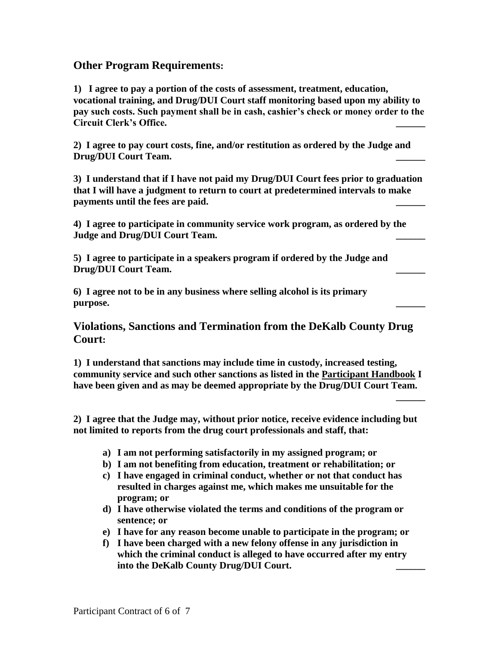# **Other Program Requirements:**

**1) I agree to pay a portion of the costs of assessment, treatment, education, vocational training, and Drug/DUI Court staff monitoring based upon my ability to pay such costs. Such payment shall be in cash, cashier's check or money order to the Circuit Clerk's Office. \_\_\_\_\_\_**

**2) I agree to pay court costs, fine, and/or restitution as ordered by the Judge and Drug/DUI Court Team. \_\_\_\_\_\_**

**3) I understand that if I have not paid my Drug/DUI Court fees prior to graduation that I will have a judgment to return to court at predetermined intervals to make**  payments until the fees are paid.

**4) I agree to participate in community service work program, as ordered by the Judge and Drug/DUI Court Team.** 

**5) I agree to participate in a speakers program if ordered by the Judge and Drug/DUI Court Team. \_\_\_\_\_\_**

**6) I agree not to be in any business where selling alcohol is its primary purpose. \_\_\_\_\_\_**

**Violations, Sanctions and Termination from the DeKalb County Drug Court:**

**1) I understand that sanctions may include time in custody, increased testing, community service and such other sanctions as listed in the Participant Handbook I have been given and as may be deemed appropriate by the Drug/DUI Court Team.** 

**\_\_\_\_\_\_** 

**2) I agree that the Judge may, without prior notice, receive evidence including but not limited to reports from the drug court professionals and staff, that:**

- **a) I am not performing satisfactorily in my assigned program; or**
- **b) I am not benefiting from education, treatment or rehabilitation; or**
- **c) I have engaged in criminal conduct, whether or not that conduct has resulted in charges against me, which makes me unsuitable for the program; or**
- **d) I have otherwise violated the terms and conditions of the program or sentence; or**
- **e) I have for any reason become unable to participate in the program; or**
- **f) I have been charged with a new felony offense in any jurisdiction in which the criminal conduct is alleged to have occurred after my entry into the DeKalb County Drug/DUI Court. \_\_\_\_\_\_**